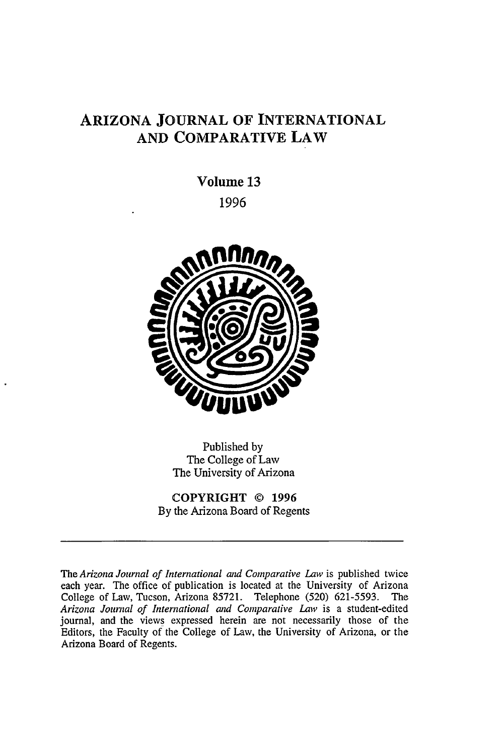# **ARIZONA JOURNAL OF INTERNATIONAL AND COMPARATIVE LAW**

**Volume 13 1996**



Published by The College of Law The University of Arizona

**COPYRIGHT © 1996** By the Arizona Board of Regents

The *Arizona Journal of International and Comparative Law* is published twice each year. The office of publication is located at the University of Arizona College of Law, Tucson, Arizona 85721. Telephone (520) 621-5593. The Arizona Journal of International and Comparative Law is a student-edited journal, and the views expressed herein are not necessarily those of the Editors, the Faculty of the College of Law, the University of Arizona, or the Arizona Board of Regents.